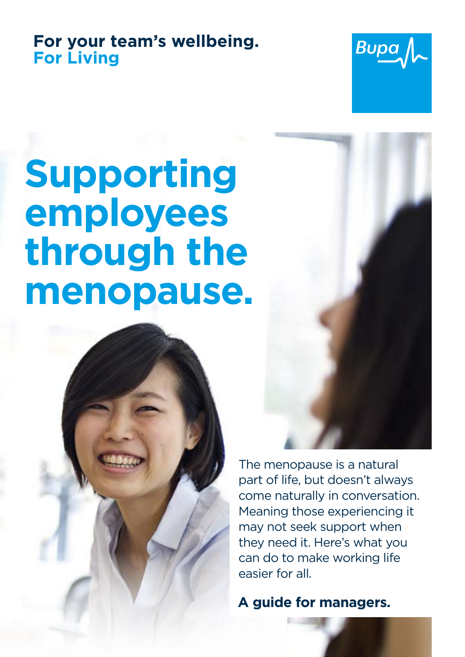# **For your team's wellbeing. For Living**



# **Supporting employees through the menopause.**



The menopause is a natural part of life, but doesn't always come naturally in conversation. Meaning those experiencing it may not seek support when they need it. Here's what you can do to make working life easier for all.

**A guide for managers.**

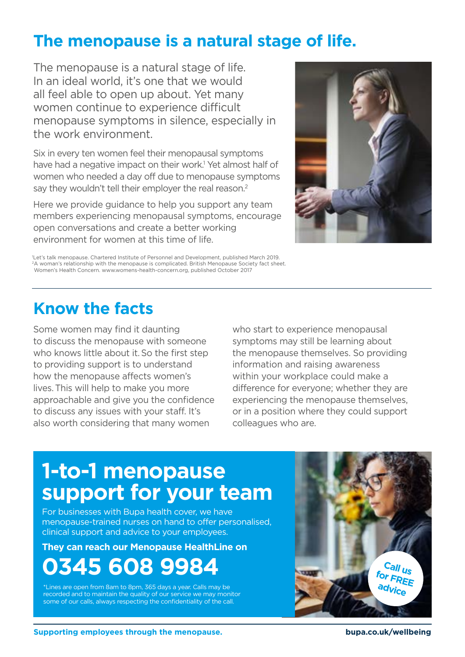# **The menopause is a natural stage of life.**

The menopause is a natural stage of life. In an ideal world, it's one that we would all feel able to open up about. Yet many women continue to experience difficult menopause symptoms in silence, especially in the work environment.

Six in every ten women feel their menopausal symptoms have had a negative impact on their work.<sup>1</sup> Yet almost half of women who needed a day off due to menopause symptoms say they wouldn't tell their employer the real reason.<sup>2</sup>

Here we provide guidance to help you support any team members experiencing menopausal symptoms, encourage open conversations and create a better working environment for women at this time of life.



1 Let's talk menopause. Chartered Institute of Personnel and Development, published March 2019. <sup>2</sup>A woman's relationship with the menopause is complicated. British Menopause Society fact sheet. Women's Health Concern. www.womens-health-concern.org, published October 2017

# **Know the facts**

Some women may find it daunting to discuss the menopause with someone who knows little about it. So the first step to providing support is to understand how the menopause affects women's lives.This will help to make you more approachable and give you the confidence to discuss any issues with your staff. It's also worth considering that many women

who start to experience menopausal symptoms may still be learning about the menopause themselves. So providing information and raising awareness within your workplace could make a difference for everyone; whether they are experiencing the menopause themselves, or in a position where they could support colleagues who are.

# **1-to-1 menopause support for your team**

For businesses with Bupa health cover, we have menopause-trained nurses on hand to offer personalised, clinical support and advice to your employees.

**They can reach our Menopause HealthLine on** 

# **0345 608 9984**

\*Lines are open from 8am to 8pm, 365 days a year. Calls may be recorded and to maintain the quality of our service we may monitor some of our calls, always respecting the confidentiality of the call.

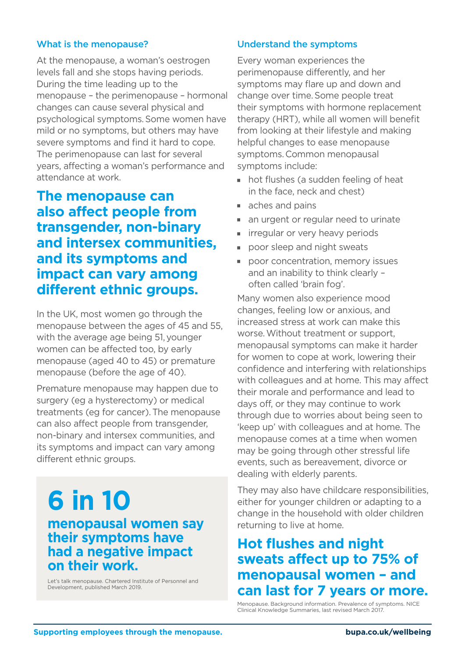#### What is the menopause?

At the menopause, a woman's oestrogen levels fall and she stops having periods. During the time leading up to the menopause – the perimenopause – hormonal changes can cause several physical and psychological symptoms.Some women have mild or no symptoms, but others may have severe symptoms and find it hard to cope. The perimenopause can last for several years, affecting a woman's performance and attendance at work.

### **The menopause can also affect people from transgender, non-binary and intersex communities, and its symptoms and impact can vary among different ethnic groups.**

In the UK, most women go through the menopause between the ages of 45 and 55, with the average age being 51, younger women can be affected too, by early menopause (aged 40 to 45) or premature menopause (before the age of 40).

Premature menopause may happen due to surgery (eg a hysterectomy) or medical treatments (eg for cancer).The menopause can also affect people from transgender, non-binary and intersex communities, and its symptoms and impact can vary among different ethnic groups.

### **6 in 10 menopausal women say their symptoms have had a negative impact on their work.**

Let's talk menopause. Chartered Institute of Personnel and Development, published March 2019.

#### Understand the symptoms

Every woman experiences the perimenopause differently, and her symptoms may flare up and down and change over time.Some people treat their symptoms with hormone replacement therapy (HRT), while all women will benefit from looking at their lifestyle and making helpful changes to ease menopause symptoms.Common menopausal symptoms include:

- hot flushes (a sudden feeling of heat in the face, neck and chest)
- aches and pains
- an urgent or regular need to urinate
- **F** irregular or very heavy periods
- poor sleep and night sweats
- **poor concentration, memory issues** and an inability to think clearly – often called 'brain fog'.

Many women also experience mood changes, feeling low or anxious, and increased stress at work can make this worse.Without treatment or support, menopausal symptoms can make it harder for women to cope at work, lowering their confidence and interfering with relationships with colleagues and at home. This may affect their morale and performance and lead to days off, or they may continue to work through due to worries about being seen to 'keep up' with colleagues and at home. The menopause comes at a time when women may be going through other stressful life events, such as bereavement, divorce or dealing with elderly parents.

They may also have childcare responsibilities, either for younger children or adapting to a change in the household with older children returning to live at home.

### **Hot flushes and night sweats affect up to 75% of menopausal women – and can last for 7 years or more.**

Menopause. Background information. Prevalence of symptoms. NICE Clinical Knowledge Summaries, last revised March 2017.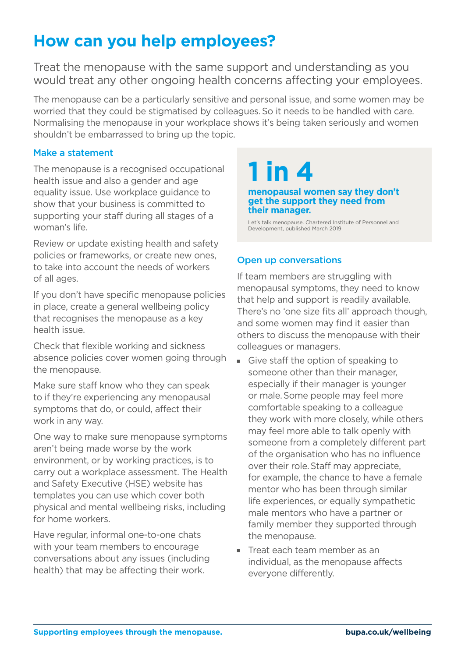# **How can you help employees?**

Treat the menopause with the same support and understanding as you would treat any other ongoing health concerns affecting your employees.

The menopause can be a particularly sensitive and personal issue, and some women may be worried that they could be stigmatised by colleagues.So it needs to be handled with care. Normalising the menopause in your workplace shows it's being taken seriously and women shouldn't be embarrassed to bring up the topic.

#### Make a statement

The menopause is a recognised occupational health issue and also a gender and age equality issue. Use workplace guidance to show that your business is committed to supporting your staff during all stages of a woman's life.

Review or update existing health and safety policies or frameworks, or create new ones, to take into account the needs of workers of all ages.

If you don't have specific menopause policies in place, create a general wellbeing policy that recognises the menopause as a key health issue.

Check that flexible working and sickness absence policies cover women going through the menopause.

Make sure staff know who they can speak to if they're experiencing any menopausal symptoms that do, or could, affect their work in any way.

One way to make sure menopause symptoms aren't being made worse by the work environment, or by working practices, is to carry out a workplace assessment. The Health and Safety Executive (HSE) website has templates you can use which cover both physical and mental wellbeing risks, including for home workers.

Have regular, informal one-to-one chats with your team members to encourage conversations about any issues (including health) that may be affecting their work.

# **1 in 4**

#### **menopausal women say they don't get the support they need from their manager.**

Let's talk menopause. Chartered Institute of Personnel and Development, published March 2019

#### Open up conversations

If team members are struggling with menopausal symptoms, they need to know that help and support is readily available. There's no 'one size fits all' approach though, and some women may find it easier than others to discuss the menopause with their colleagues or managers.

- Give staff the option of speaking to someone other than their manager, especially if their manager is younger or male.Some people may feel more comfortable speaking to a colleague they work with more closely, while others may feel more able to talk openly with someone from a completely different part of the organisation who has no influence over their role.Staff may appreciate, for example, the chance to have a female mentor who has been through similar life experiences, or equally sympathetic male mentors who have a partner or family member they supported through the menopause.
- $\blacksquare$  Treat each team member as an individual, as the menopause affects everyone differently.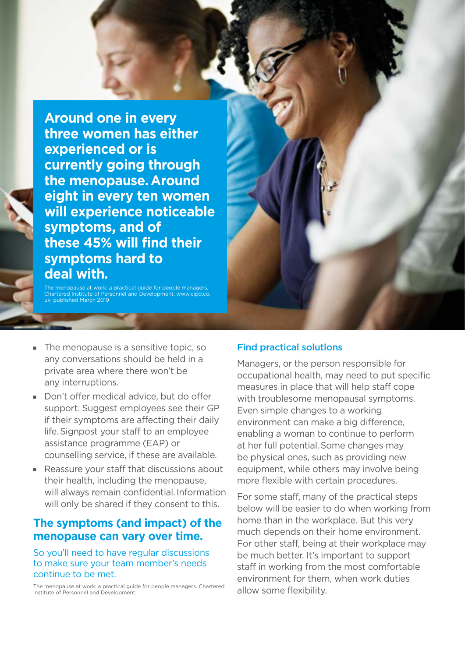**Around one in every three women has either experienced or is currently going through the menopause.Around eight in every ten women will experience noticeable symptoms, and of these 45% will find their symptoms hard to deal with.**

The menopause at work: a practical guide for people managers. Chartered Institute of Personnel and Development. www.cipd.co. published March 2019

- 
- $\blacksquare$  The menopause is a sensitive topic, so any conversations should be held in a private area where there won't be any interruptions.
- Don't offer medical advice, but do offer support. Suggest employees see their GP if their symptoms are affecting their daily life.Signpost your staff to an employee assistance programme (EAP) or counselling service, if these are available.
- Reassure your staff that discussions about their health, including the menopause, will always remain confidential. Information will only be shared if they consent to this.

#### **The symptoms (and impact) of the menopause can vary over time.**

So you'll need to have regular discussions to make sure your team member's needs continue to be met.

The menopause at work: a practical guide for people managers. Chartered Institute of Personnel and Development.

#### Find practical solutions

Managers, or the person responsible for occupational health, may need to put specific measures in place that will help staff cope with troublesome menopausal symptoms. Even simple changes to a working environment can make a big difference, enabling a woman to continue to perform at her full potential.Some changes may be physical ones, such as providing new equipment, while others may involve being more flexible with certain procedures.

For some staff, many of the practical steps below will be easier to do when working from home than in the workplace. But this very much depends on their home environment. For other staff, being at their workplace may be much better. It's important to support staff in working from the most comfortable environment for them, when work duties allow some flexibility.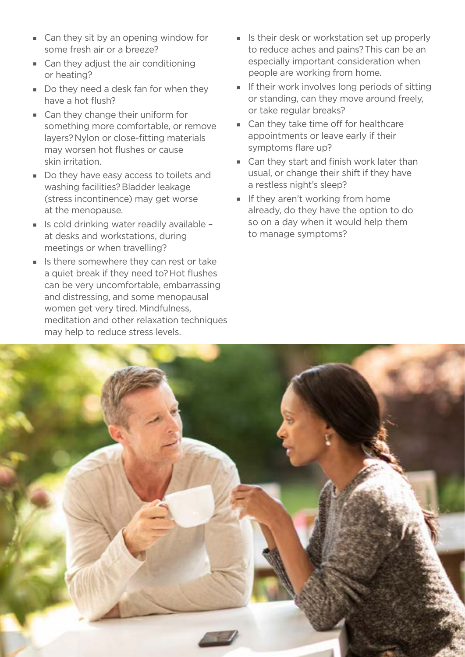- Can they sit by an opening window for some fresh air or a breeze?
- $\blacksquare$  Can they adjust the air conditioning or heating?
- Do they need a desk fan for when they have a hot flush?
- $\Box$  Can they change their uniform for something more comfortable, or remove layers?Nylon or close-fitting materials may worsen hot flushes or cause skin irritation.
- Do they have easy access to toilets and washing facilities?Bladder leakage (stress incontinence) may get worse at the menopause.
- $\blacksquare$  Is cold drinking water readily available at desks and workstations, during meetings or when travelling?
- $\blacksquare$  Is there somewhere they can rest or take a quiet break if they need to?Hot flushes can be very uncomfortable, embarrassing and distressing, and some menopausal women get very tired.Mindfulness, meditation and other relaxation techniques may help to reduce stress levels.
- I Is their desk or workstation set up properly to reduce aches and pains?This can be an especially important consideration when people are working from home.
- $\blacksquare$  If their work involves long periods of sitting or standing, can they move around freely, or take regular breaks?
- Can they take time off for healthcare appointments or leave early if their symptoms flare up?
- $\blacksquare$  Can they start and finish work later than usual, or change their shift if they have a restless night's sleep?
- $\blacksquare$  If they aren't working from home already, do they have the option to do so on a day when it would help them to manage symptoms?

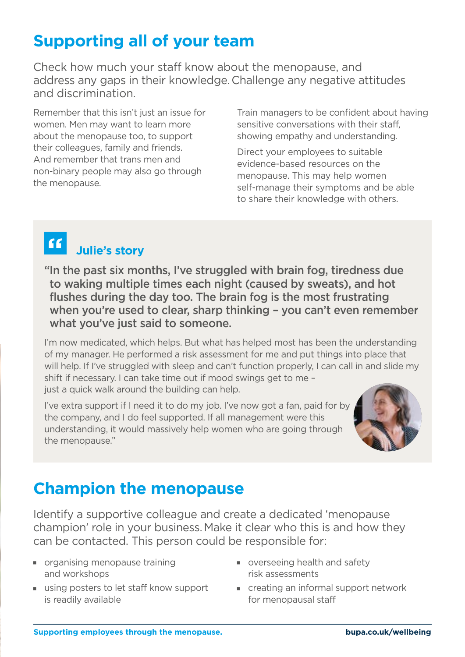# **Supporting all of your team**

Check how much your staff know about the menopause, and address any gaps in their knowledge.Challenge any negative attitudes and discrimination.

Remember that this isn't just an issue for women. Men may want to learn more about the menopause too, to support their colleagues, family and friends. And remember that trans men and non-binary people may also go through the menopause.

Train managers to be confident about having sensitive conversations with their staff, showing empathy and understanding.

Direct your employees to suitable evidence-based resources on the menopause. This may help women self-manage their symptoms and be able to share their knowledge with others.

#### $66$  **Julie's story**

"In the past six months, I've struggled with brain fog, tiredness due to waking multiple times each night (caused by sweats), and hot flushes during the day too. The brain fog is the most frustrating when you're used to clear, sharp thinking – you can't even remember what you've just said to someone.

I'm now medicated, which helps. But what has helped most has been the understanding of my manager. He performed a risk assessment for me and put things into place that will help. If I've struggled with sleep and can't function properly. I can call in and slide my shift if necessary. I can take time out if mood swings get to me – just a quick walk around the building can help.

I've extra support if I need it to do my job. I've now got a fan, paid for by the company, and I do feel supported. If all management were this understanding, it would massively help women who are going through the menopause."



# **Champion the menopause**

Identify a supportive colleague and create a dedicated 'menopause champion' role in your business.Make it clear who this is and how they can be contacted. This person could be responsible for:

- **p** organising menopause training and workshops
- $\blacksquare$  using posters to let staff know support is readily available
- **v** overseeing health and safety risk assessments
- $\blacksquare$  creating an informal support network for menopausal staff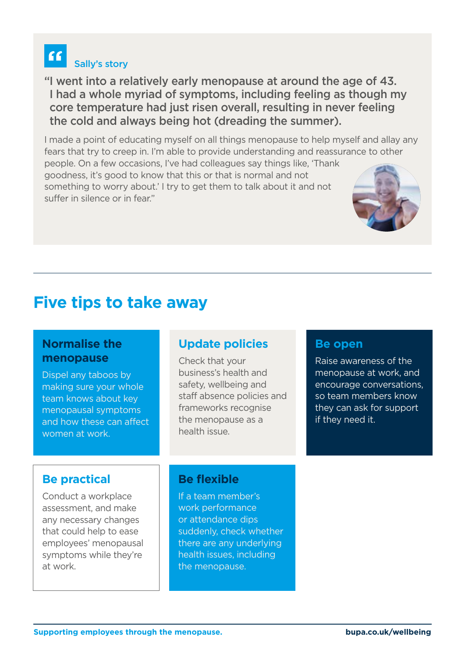#### Sally's story "I went into a relatively early menopause at around the age of 43. I had a whole myriad of symptoms, including feeling as though my core temperature had just risen overall, resulting in never feeling

the cold and always being hot (dreading the summer).

I made a point of educating myself on all things menopause to help myself and allay any fears that try to creep in. I'm able to provide understanding and reassurance to other

people. On a few occasions, I've had colleagues say things like, 'Thank goodness, it's good to know that this or that is normal and not something to worry about.' I try to get them to talk about it and not suffer in silence or in fear."

# **Five tips to take away**

#### **Normalise the menopause**

 $\overline{66}$ 

Dispel any taboos by making sure your whole team knows about key menopausal symptoms and how these can affect women at work.

### **Be practical**

Conduct a workplace assessment, and make any necessary changes that could help to ease employees' menopausal symptoms while they're at work.

### **Update policies**

Check that your business's health and safety, wellbeing and staff absence policies and frameworks recognise the menopause as a health issue.

### **Be flexible**

If a team member's work performance or attendance dips suddenly, check whether there are any underlying health issues, including the menopause.

#### **Be open**

Raise awareness of the menopause at work, and encourage conversations, so team members know they can ask for support if they need it.